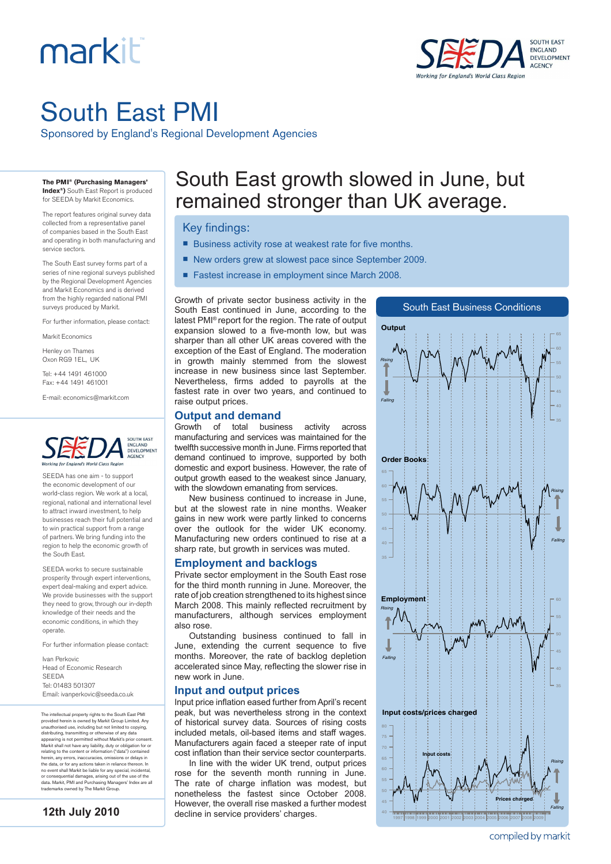# markiti



# South East PMI

Sponsored by England's Regional Development Agencies

#### **The PMI® (Purchasing Managers' Index®)** South East Report is produced

for SEEDA by Markit Economics.

The report features original survey data collected from a representative panel of companies based in the South East and operating in both manufacturing and service sectors.

The South East survey forms part of a series of nine regional surveys published by the Regional Development Agencies and Markit Economics and is derived from the highly regarded national PMI surveys produced by Markit.

For further information, please contact:

Markit Economics

Henley on Thames Oxon RG9 1EL, UK

Tel: +44 1491 461000

Fax: +44 1491 461001 E-mail: economics@markit.com



SEEDA has one aim - to support the economic development of our world-class region. We work at a local, regional, national and international level to attract inward investment, to help businesses reach their full potential and to win practical support from a range of partners. We bring funding into the region to help the economic growth of the South East.

SEEDA works to secure sustainable prosperity through expert interventions, expert deal-making and expert advice. We provide businesses with the support they need to grow, through our in-depth knowledge of their needs and the economic conditions, in which they operate.

For further information please contact:

Ivan Perkovic Head of Economic Research SEEDA Tel: 01483 501307 Email: ivanperkovic@seeda.co.uk

The intellectual property rights to the South East PMI provided herein is owned by Markit Group Limited. Any<br>unauthorised use, including but not limited to copying,<br>distributing, transmitting or otherwise of any data<br>appearing is not permitted without Markit's prior consent.<br>M herein, any errors, inaccuracies, omissions or delays in the data, or for any actions taken in reliance thereon. In no event shall Markit be liable for any special, incidental, or consequential damages, arising out of the use of the data. Markit, PMI and Purchasing Managers' Index are all trademarks owned by The Markit Group.

**12th July 2010**

## South East growth slowed in June, but remained stronger than UK average.

#### Key findings:

- Business activity rose at weakest rate for five months.
- New orders grew at slowest pace since September 2009.
- Fastest increase in employment since March 2008.

Growth of private sector business activity in the South East continued in June, according to the latest PMI® report for the region. The rate of output expansion slowed to a five-month low, but was sharper than all other UK areas covered with the exception of the East of England. The moderation in growth mainly stemmed from the slowest increase in new business since last September. Nevertheless, firms added to payrolls at the fastest rate in over two years, and continued to raise output prices.

### 40 45 **Employment** *Rising Falling* 40 45 80 **Input costs/prices charged** *Rising Falling* **Input costs Prices charged** 40 45 **Order Books** *Rising Falling* 35 40 45 50 60 65 **Output** *Rising Falling*

South East Business Conditions

1997 1998 1999 2000 2001 2002 2003 2004 2005 2006 2007 2008 2009

**Output and demand**

Growth of total business activity across manufacturing and services was maintained for the twelfth successive month in June. Firms reported that demand continued to improve, supported by both domestic and export business. However, the rate of output growth eased to the weakest since January, with the slowdown emanating from services.

New business continued to increase in June, but at the slowest rate in nine months. Weaker gains in new work were partly linked to concerns over the outlook for the wider UK economy. Manufacturing new orders continued to rise at a sharp rate, but growth in services was muted.

#### **Employment and backlogs**

Private sector employment in the South East rose for the third month running in June. Moreover, the rate of job creation strengthened to its highest since March 2008. This mainly reflected recruitment by manufacturers, although services employment also rose.

Outstanding business continued to fall in June, extending the current sequence to five months. Moreover, the rate of backlog depletion accelerated since May, reflecting the slower rise in new work in June.

#### **Input and output prices**

Input price inflation eased further from April's recent peak, but was nevertheless strong in the context of historical survey data. Sources of rising costs included metals, oil-based items and staff wages. Manufacturers again faced a steeper rate of input cost inflation than their service sector counterparts.

In line with the wider UK trend, output prices rose for the seventh month running in June. The rate of charge inflation was modest, but nonetheless the fastest since October 2008. However, the overall rise masked a further modest decline in service providers' charges.

compiled by markit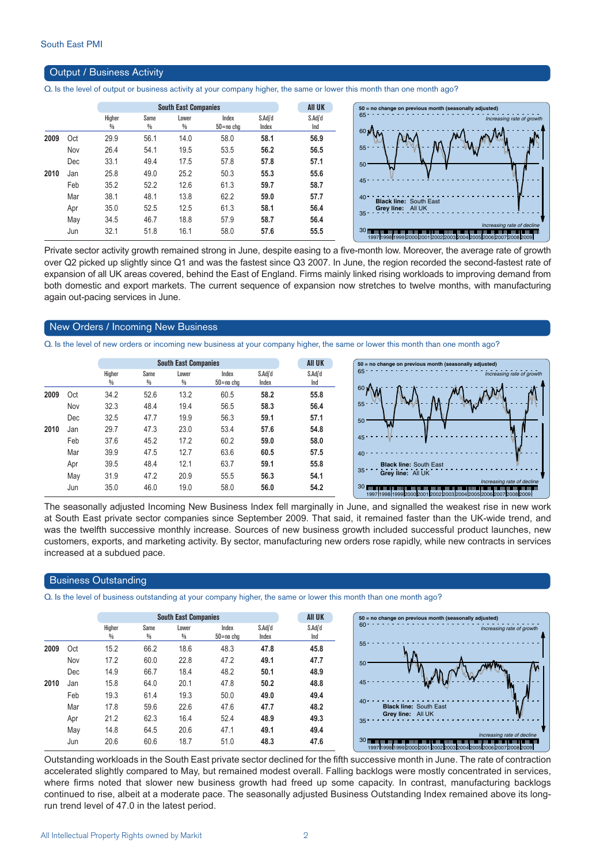#### Output / Business Activity

Q. Is the level of output or business activity at your company higher, the same or lower this month than one month ago?

|      |     |                         |                       | <b>South East Companies</b> |                    |                  | <b>AII UK</b>  |
|------|-----|-------------------------|-----------------------|-----------------------------|--------------------|------------------|----------------|
|      |     | Higher<br>$\frac{0}{0}$ | Same<br>$\frac{0}{0}$ | Lower<br>$\frac{0}{0}$      | Index<br>50=no cha | S.Adj'd<br>Index | S.Adi'd<br>Ind |
| 2009 | Oct | 29.9                    | 56.1                  | 14.0                        | 58.0               | 58.1             | 56.9           |
|      | Nov | 26.4                    | 54.1                  | 19.5                        | 53.5               | 56.2             | 56.5           |
|      | Dec | 33.1                    | 49.4                  | 17.5                        | 57.8               | 57.8             | 57.1           |
| 2010 | Jan | 25.8                    | 49.0                  | 25.2                        | 50.3               | 55.3             | 55.6           |
|      | Feb | 35.2                    | 52.2                  | 12.6                        | 61.3               | 59.7             | 58.7           |
|      | Mar | 38.1                    | 48.1                  | 13.8                        | 62.2               | 59.0             | 57.7           |
|      | Apr | 35.0                    | 52.5                  | 12.5                        | 61.3               | 58.1             | 56.4           |
|      | May | 34.5                    | 46.7                  | 18.8                        | 57.9               | 58.7             | 56.4           |
|      | Jun | 32.1                    | 51.8                  | 16.1                        | 58.0               | 57.6             | 55.5           |
|      |     |                         |                       |                             |                    |                  |                |



Private sector activity growth remained strong in June, despite easing to a five-month low. Moreover, the average rate of growth over Q2 picked up slightly since Q1 and was the fastest since Q3 2007. In June, the region recorded the second-fastest rate of expansion of all UK areas covered, behind the East of England. Firms mainly linked rising workloads to improving demand from both domestic and export markets. The current sequence of expansion now stretches to twelve months, with manufacturing again out-pacing services in June.

#### New Orders / Incoming New Business

Q. Is the level of new orders or incoming new business at your company higher, the same or lower this month than one month ago?

|      |     |                         |           | <b>South East Companies</b> |                        | <b>AII UK</b>    | $50 = no change$ or |                                    |
|------|-----|-------------------------|-----------|-----------------------------|------------------------|------------------|---------------------|------------------------------------|
|      |     | Higher<br>$\frac{0}{0}$ | Same<br>% | Lower<br>$\frac{0}{0}$      | Index<br>$50 = no$ chg | S.Adi'd<br>Index | S.Adj'd<br>Ind      | 65                                 |
| 2009 | Oct | 34.2                    | 52.6      | 13.2                        | 60.5                   | 58.2             | 55.8                | 60 <sub>1</sub>                    |
|      | Nov | 32.3                    | 48.4      | 19.4                        | 56.5                   | 58.3             | 56.4                | $55 -$                             |
|      | Dec | 32.5                    | 47.7      | 19.9                        | 56.3                   | 59.1             | 57.1                | 50                                 |
| 2010 | Jan | 29.7                    | 47.3      | 23.0                        | 53.4                   | 57.6             | 54.8                | W                                  |
|      | Feb | 37.6                    | 45.2      | 17.2                        | 60.2                   | 59.0             | 58.0                | 45                                 |
|      | Mar | 39.9                    | 47.5      | 12.7                        | 63.6                   | 60.5             | 57.5                | 40                                 |
|      | Apr | 39.5                    | 48.4      | 12.1                        | 63.7                   | 59.1             | 55.8                | <b>Black I</b>                     |
|      | May | 31.9                    | 47.2      | 20.9                        | 55.5                   | 56.3             | 54.1                | 35<br>Grey li                      |
|      | Jun | 35.0                    | 46.0      | 19.0                        | 58.0                   | 56.0             | 54.2                | <b>30 mmmmmmmmm</b><br>19971998199 |



The seasonally adjusted Incoming New Business Index fell marginally in June, and signalled the weakest rise in new work at South East private sector companies since September 2009. That said, it remained faster than the UK-wide trend, and was the twelfth successive monthly increase. Sources of new business growth included successful product launches, new customers, exports, and marketing activity. By sector, manufacturing new orders rose rapidly, while new contracts in services increased at a subdued pace.

#### Business Outstanding

Q. Is the level of business outstanding at your company higher, the same or lower this month than one month ago?

|      |     |        | <b>South East Companies</b> | <b>AII UK</b> |               |         |         |
|------|-----|--------|-----------------------------|---------------|---------------|---------|---------|
|      |     | Higher | Same                        | Lower         | Index         | S.Adj'd | S.Adj'd |
|      |     | ₩      | %                           | %             | $50 = no$ chg | Index   | Ind     |
| 2009 | Oct | 15.2   | 66.2                        | 18.6          | 48.3          | 47.8    | 45.8    |
|      | Nov | 17.2   | 60.0                        | 22.8          | 47.2          | 49.1    | 47.7    |
|      | Dec | 14.9   | 66.7                        | 18.4          | 48.2          | 50.1    | 48.9    |
| 2010 | Jan | 15.8   | 64.0                        | 20.1          | 47.8          | 50.2    | 48.8    |
|      | Feb | 19.3   | 61.4                        | 19.3          | 50.0          | 49.0    | 49.4    |
|      | Mar | 17.8   | 59.6                        | 22.6          | 47.6          | 47.7    | 48.2    |
|      | Apr | 21.2   | 62.3                        | 16.4          | 52.4          | 48.9    | 49.3    |
|      | May | 14.8   | 64.5                        | 20.6          | 47.1          | 49.1    | 49.4    |
|      | Jun | 20.6   | 60.6                        | 18.7          | 51.0          | 48.3    | 47.6    |

Outstanding workloads in the South East private sector declined for the fifth successive month in June. The rate of contraction accelerated slightly compared to May, but remained modest overall. Falling backlogs were mostly concentrated in services, where firms noted that slower new business growth had freed up some capacity. In contrast, manufacturing backlogs continued to rise, albeit at a moderate pace. The seasonally adjusted Business Outstanding Index remained above its longrun trend level of 47.0 in the latest period.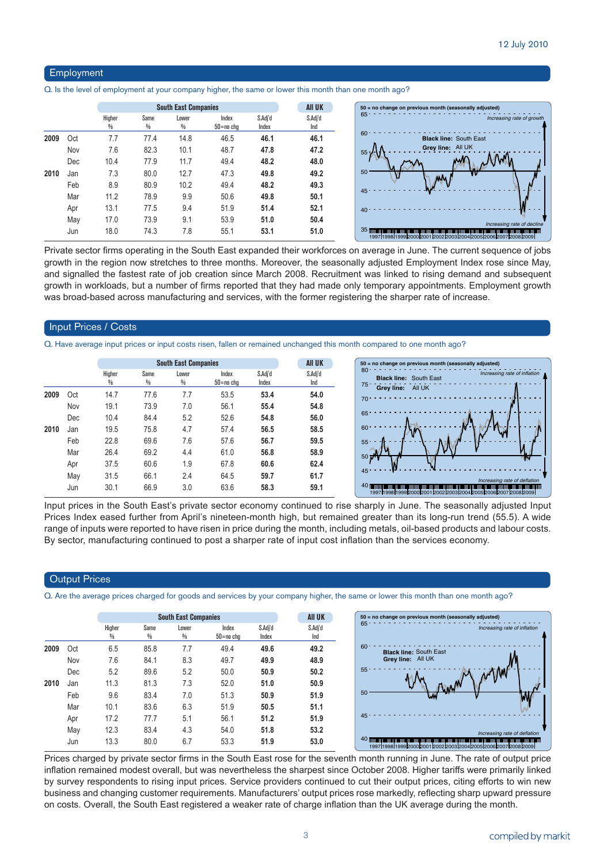#### Employment

Q. Is the level of employment at your company higher, the same or lower this month than one month ago?

|      |     |             |           | <b>South East Companies</b> |                    |                  | <b>AII UK</b>  | $50 = no$ change on previous month (seasonally adjusted)                                                                                                                            |
|------|-----|-------------|-----------|-----------------------------|--------------------|------------------|----------------|-------------------------------------------------------------------------------------------------------------------------------------------------------------------------------------|
|      |     | Higher<br>% | Same<br>% | Lower<br>%                  | Index<br>50=no cha | S.Adj'd<br>Index | S.Adj'd<br>Ind | 65<br>Increasing rate of growth                                                                                                                                                     |
| 2009 | Oct | 7.7         | 77.4      | 14.8                        | 46.5               | 46.1             | 46.1           | 60<br><b>Black line: South East</b>                                                                                                                                                 |
|      | Nov | 7.6         | 82.3      | 10.1                        | 48.7               | 47.8             | 47.2           | Grey line: All UK<br>55 <sub>5</sub>                                                                                                                                                |
|      | Dec | 10.4        | 77.9      | 11.7                        | 49.4               | 48.2             | 48.0           |                                                                                                                                                                                     |
| 2010 | Jan | 7.3         | 80.0      | 12.7                        | 47.3               | 49.8             | 49.2           | 50                                                                                                                                                                                  |
|      | Feb | 8.9         | 80.9      | 10.2                        | 49.4               | 48.2             | 49.3           |                                                                                                                                                                                     |
|      | Mar | 11.2        | 78.9      | 9.9                         | 50.6               | 49.8             | 50.1           | $45 -$                                                                                                                                                                              |
|      | Apr | 13.1        | 77.5      | 9.4                         | 51.9               | 51.4             | 52.1           | $40 -$                                                                                                                                                                              |
|      | May | 17.0        | 73.9      | 9.1                         | 53.9               | 51.0             | 50.4           | Increasing rate of decline                                                                                                                                                          |
|      | Jun | 18.0        | 74.3      | 7.8                         | 55.1               | 53.1             | 51.0           | 35 mm and an annual production of the manufacturer of the theory of the complete and product product and the c<br>19971199811999120001200112002120031200412005120061200712008120091 |

Private sector firms operating in the South East expanded their workforces on average in June. The current sequence of jobs growth in the region now stretches to three months. Moreover, the seasonally adjusted Employment Index rose since May, and signalled the fastest rate of job creation since March 2008. Recruitment was linked to rising demand and subsequent growth in workloads, but a number of firms reported that they had made only temporary appointments. Employment growth was broad-based across manufacturing and services, with the former registering the sharper rate of increase.

#### Input Prices / Costs

Q. Have average input prices or input costs risen, fallen or remained unchanged this month compared to one month ago?

|     |                         |                       |            |                        |                             | <b>All UK</b>  |
|-----|-------------------------|-----------------------|------------|------------------------|-----------------------------|----------------|
|     | Higher<br>$\frac{0}{0}$ | Same<br>$\frac{0}{0}$ | Lower<br>% | Index<br>$50 = no$ chg | S.Adj'd<br>Index            | S.Adj'd<br>Ind |
| Oct | 14.7                    | 77.6                  | 7.7        | 53.5                   | 53.4                        | 54.0           |
| Nov | 19.1                    | 73.9                  | 7.0        | 56.1                   | 55.4                        | 54.8           |
| Dec | 10.4                    | 84.4                  | 5.2        | 52.6                   | 54.8                        | 56.0           |
| Jan | 19.5                    | 75.8                  | 4.7        | 57.4                   | 56.5                        | 58.5           |
| Feb | 22.8                    | 69.6                  | 7.6        | 57.6                   | 56.7                        | 59.5           |
| Mar | 26.4                    | 69.2                  | 4.4        | 61.0                   | 56.8                        | 58.9           |
| Apr | 37.5                    | 60.6                  | 1.9        | 67.8                   | 60.6                        | 62.4           |
| May | 31.5                    | 66.1                  | 2.4        | 64.5                   | 59.7                        | 61.7           |
| Jun | 30.1                    | 66.9                  | 3.0        | 63.6                   | 58.3                        | 59.1           |
|     |                         |                       |            |                        | <b>South East Companies</b> |                |



Input prices in the South East's private sector economy continued to rise sharply in June. The seasonally adjusted Input Prices Index eased further from April's nineteen-month high, but remained greater than its long-run trend (55.5). A wide range of inputs were reported to have risen in price during the month, including metals, oil-based products and labour costs. By sector, manufacturing continued to post a sharper rate of input cost inflation than the services economy.

#### **Output Prices**

Q. Are the average prices charged for goods and services by your company higher, the same or lower this month than one month ago?

|      |     |             | <b>South East Companies</b> |            | <b>AII UK</b>      |                  |                |
|------|-----|-------------|-----------------------------|------------|--------------------|------------------|----------------|
|      |     | Higher<br>₩ | Same<br>%                   | Lower<br>₩ | Index<br>50=no cha | S.Adj'd<br>Index | S.Adj'd<br>Ind |
| 2009 | Oct | 6.5         | 85.8                        | 7.7        | 49.4               | 49.6             | 49.2           |
|      | Nov | 7.6         | 84.1                        | 8.3        | 49.7               | 49.9             | 48.9           |
|      | Dec | 5.2         | 89.6                        | 5.2        | 50.0               | 50.9             | 50.2           |
| 2010 | Jan | 11.3        | 81.3                        | 7.3        | 52.0               | 51.0             | 50.9           |
|      | Feb | 9.6         | 83.4                        | 7.0        | 51.3               | 50.9             | 51.9           |
|      | Mar | 10.1        | 83.6                        | 6.3        | 51.9               | 50.5             | 51.1           |
|      | Apr | 17.2        | 77.7                        | 5.1        | 56.1               | 51.2             | 51.9           |
|      | May | 12.3        | 83.4                        | 4.3        | 54.0               | 51.8             | 53.2           |
|      | Jun | 13.3        | 80.0                        | 6.7        | 53.3               | 51.9             | 53.0           |

Prices charged by private sector firms in the South East rose for the seventh month running in June. The rate of output price inflation remained modest overall, but was nevertheless the sharpest since October 2008. Higher tariffs were primarily linked by survey respondents to rising input prices. Service providers continued to cut their output prices, citing efforts to win new business and changing customer requirements. Manufacturers' output prices rose markedly, reflecting sharp upward pressure on costs. Overall, the South East registered a weaker rate of charge inflation than the UK average during the month.